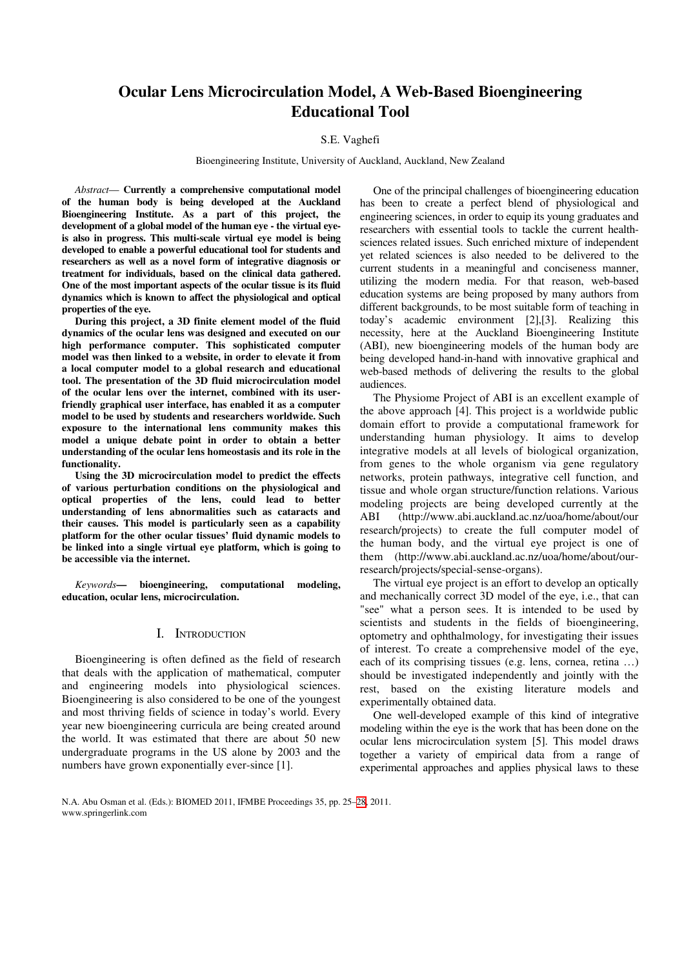# **Ocular Lens Microcirculation Model, A Web-Based Bioengineering Educational Tool**

## S.E. Vaghefi

#### Bioengineering Institute, University of Auckland, Auckland, New Zealand

*Abstract*— **Currently a comprehensive computational model of the human body is being developed at the Auckland Bioengineering Institute. As a part of this project, the development of a global model of the human eye - the virtual eyeis also in progress. This multi-scale virtual eye model is being developed to enable a powerful educational tool for students and researchers as well as a novel form of integrative diagnosis or treatment for individuals, based on the clinical data gathered. One of the most important aspects of the ocular tissue is its fluid dynamics which is known to affect the physiological and optical properties of the eye.** 

**During this project, a 3D finite element model of the fluid dynamics of the ocular lens was designed and executed on our high performance computer. This sophisticated computer model was then linked to a website, in order to elevate it from a local computer model to a global research and educational tool. The presentation of the 3D fluid microcirculation model of the ocular lens over the internet, combined with its userfriendly graphical user interface, has enabled it as a computer model to be used by students and researchers worldwide. Such exposure to the international lens community makes this model a unique debate point in order to obtain a better understanding of the ocular lens homeostasis and its role in the functionality.** 

**Using the 3D microcirculation model to predict the effects of various perturbation conditions on the physiological and optical properties of the lens, could lead to better understanding of lens abnormalities such as cataracts and their causes. This model is particularly seen as a capability platform for the other ocular tissues' fluid dynamic models to be linked into a single virtual eye platform, which is going to be accessible via the internet.** 

*Keywords***— bioengineering, computational modeling, education, ocular lens, microcirculation.** 

## I. INTRODUCTION

Bioengineering is often defined as the field of research that deals with the application of mathematical, computer and engineering models into physiological sciences. Bioengineering is also considered to be one of the youngest and most thriving fields of science in today's world. Every year new bioengineering curricula are being created around the world. It was estimated that there are about 50 new undergraduate programs in the US alone by 2003 and the numbers have grown exponentially ever-since [1].

One of the principal challenges of bioengineering education has been to create a perfect blend of physiological and engineering sciences, in order to equip its young graduates and researchers with essential tools to tackle the current healthsciences related issues. Such enriched mixture of independent yet related sciences is also needed to be delivered to the current students in a meaningful and conciseness manner, utilizing the modern media. For that reason, web-based education systems are being proposed by many authors from different backgrounds, to be most suitable form of teaching in today's academic environment [2],[3]. Realizing this necessity, here at the Auckland Bioengineering Institute (ABI), new bioengineering models of the human body are being developed hand-in-hand with innovative graphical and web-based methods of delivering the results to the global audiences.

The Physiome Project of ABI is an excellent example of the above approach [4]. This project is a worldwide public domain effort to provide a computational framework for understanding human physiology. It aims to develop integrative models at all levels of biological organization, from genes to the whole organism via gene regulatory networks, protein pathways, integrative cell function, and tissue and whole organ structure/function relations. Various modeling projects are being developed currently at the ABI (http://www.abi.auckland.ac.nz/uoa/home/about/our research/projects) to create the full computer model of the human body, and the virtual eye project is one of them (http://www.abi.auckland.ac.nz/uoa/home/about/ourresearch/projects/special-sense-organs).

The virtual eye project is an effort to develop an optically and mechanically correct 3D model of the eye, i.e., that can "see" what a person sees. It is intended to be used by scientists and students in the fields of bioengineering, optometry and ophthalmology, for investigating their issues of interest. To create a comprehensive model of the eye, each of its comprising tissues (e.g. lens, cornea, retina …) should be investigated independently and jointly with the rest, based on the existing literature models and experimentally obtained data.

One well-developed example of this kind of integrative modeling within the eye is the work that has been done on the ocular lens microcirculation system [5]. This model draws together a variety of empirical data from a range of experimental approaches and applies physical laws to these

N.A. Abu Osman et al. (Eds.): BIOMED 2011, IFMBE Proceedings 35, pp. 25[–28](#page-3-0), 2011. www.springerlink.com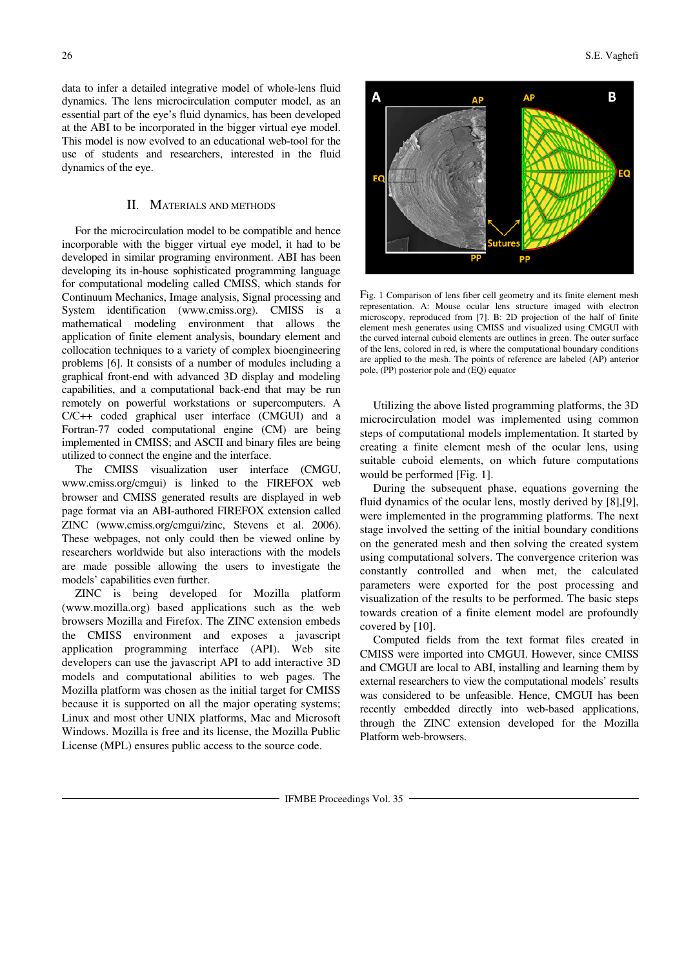data to infer a detailed integrative model of whole-lens fluid dynamics. The lens microcirculation computer model, as an essential part of the eye's fluid dynamics, has been developed at the ABI to be incorporated in the bigger virtual eye model. This model is now evolved to an educational web-tool for the use of students and researchers, interested in the fluid dynamics of the eye.

#### II. MATERIALS AND METHODS

For the microcirculation model to be compatible and hence incorporable with the bigger virtual eye model, it had to be developed in similar programing environment. ABI has been developing its in-house sophisticated programming language for computational modeling called CMISS, which stands for Continuum Mechanics, Image analysis, Signal processing and System identification (www.cmiss.org). CMISS is a mathematical modeling environment that allows the application of finite element analysis, boundary element and collocation techniques to a variety of complex bioengineering problems [6]. It consists of a number of modules including a graphical front-end with advanced 3D display and modeling capabilities, and a computational back-end that may be run remotely on powerful workstations or supercomputers. A C/C++ coded graphical user interface (CMGUI) and a Fortran-77 coded computational engine (CM) are being implemented in CMISS; and ASCII and binary files are being utilized to connect the engine and the interface.

The CMISS visualization user interface (CMGU, www.cmiss.org/cmgui) is linked to the FIREFOX web browser and CMISS generated results are displayed in web page format via an ABI-authored FIREFOX extension called ZINC (www.cmiss.org/cmgui/zinc, Stevens et al. 2006). These webpages, not only could then be viewed online by researchers worldwide but also interactions with the models are made possible allowing the users to investigate the models' capabilities even further.

ZINC is being developed for Mozilla platform (www.mozilla.org) based applications such as the web browsers Mozilla and Firefox. The ZINC extension embeds the CMISS environment and exposes a javascript application programming interface (API). Web site developers can use the javascript API to add interactive 3D models and computational abilities to web pages. The Mozilla platform was chosen as the initial target for CMISS because it is supported on all the major operating systems; Linux and most other UNIX platforms, Mac and Microsoft Windows. Mozilla is free and its license, the Mozilla Public License (MPL) ensures public access to the source code.



Fig. 1 Comparison of lens fiber cell geometry and its finite element mesh representation. A: Mouse ocular lens structure imaged with electron microscopy, reproduced from [7]. B: 2D projection of the half of finite element mesh generates using CMISS and visualized using CMGUI with the curved internal cuboid elements are outlines in green. The outer surface of the lens, colored in red, is where the computational boundary conditions are applied to the mesh. The points of reference are labeled (AP) anterior pole, (PP) posterior pole and (EQ) equator

Utilizing the above listed programming platforms, the 3D microcirculation model was implemented using common steps of computational models implementation. It started by creating a finite element mesh of the ocular lens, using suitable cuboid elements, on which future computations would be performed [Fig. 1].

During the subsequent phase, equations governing the fluid dynamics of the ocular lens, mostly derived by [8],[9], were implemented in the programming platforms. The next stage involved the setting of the initial boundary conditions on the generated mesh and then solving the created system using computational solvers. The convergence criterion was constantly controlled and when met, the calculated parameters were exported for the post processing and visualization of the results to be performed. The basic steps towards creation of a finite element model are profoundly covered by [10].

Computed fields from the text format files created in CMISS were imported into CMGUI. However, since CMISS and CMGUI are local to ABI, installing and learning them by external researchers to view the computational models' results was considered to be unfeasible. Hence, CMGUI has been recently embedded directly into web-based applications, through the ZINC extension developed for the Mozilla Platform web-browsers.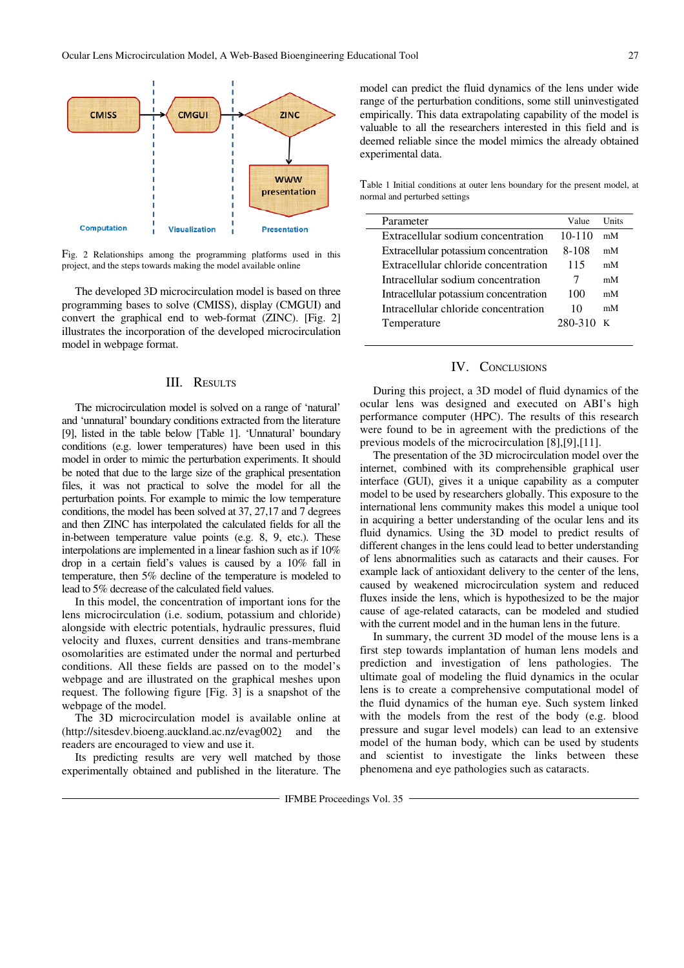

Fig. 2 Relationships among the programming platforms used in this project, and the steps towards making the model available online

The developed 3D microcirculation model is based on three programming bases to solve (CMISS), display (CMGUI) and convert the graphical end to web-format (ZINC). [Fig. 2] illustrates the incorporation of the developed microcirculation model in webpage format.

## III. RESULTS

The microcirculation model is solved on a range of 'natural' and 'unnatural' boundary conditions extracted from the literature [9], listed in the table below [Table 1]. 'Unnatural' boundary conditions (e.g. lower temperatures) have been used in this model in order to mimic the perturbation experiments. It should be noted that due to the large size of the graphical presentation files, it was not practical to solve the model for all the perturbation points. For example to mimic the low temperature conditions, the model has been solved at 37, 27,17 and 7 degrees and then ZINC has interpolated the calculated fields for all the in-between temperature value points (e.g. 8, 9, etc.). These interpolations are implemented in a linear fashion such as if 10% drop in a certain field's values is caused by a 10% fall in temperature, then 5% decline of the temperature is modeled to lead to 5% decrease of the calculated field values.

In this model, the concentration of important ions for the lens microcirculation (i.e. sodium, potassium and chloride) alongside with electric potentials, hydraulic pressures, fluid velocity and fluxes, current densities and trans-membrane osomolarities are estimated under the normal and perturbed conditions. All these fields are passed on to the model's webpage and are illustrated on the graphical meshes upon request. The following figure [Fig. 3] is a snapshot of the webpage of the model.

The 3D microcirculation model is available online at (http://sitesdev.bioeng.auckland.ac.nz/evag002) and the readers are encouraged to view and use it.

Its predicting results are very well matched by those experimentally obtained and published in the literature. The model can predict the fluid dynamics of the lens under wide range of the perturbation conditions, some still uninvestigated empirically. This data extrapolating capability of the model is valuable to all the researchers interested in this field and is deemed reliable since the model mimics the already obtained experimental data.

Table 1 Initial conditions at outer lens boundary for the present model, at normal and perturbed settings

| Parameter                             | Value    | <b>H</b> nits |
|---------------------------------------|----------|---------------|
| Extracellular sodium concentration    | $10-110$ | mM            |
| Extracellular potassium concentration | 8-108    | mM            |
| Extracellular chloride concentration  | 115      | mM            |
| Intracellular sodium concentration    |          | mM            |
| Intracellular potassium concentration | 100      | mM            |
| Intracellular chloride concentration  | 10       | mM            |
| Temperature                           | 280-310  | K             |

## IV. CONCLUSIONS

During this project, a 3D model of fluid dynamics of the ocular lens was designed and executed on ABI's high performance computer (HPC). The results of this research were found to be in agreement with the predictions of the previous models of the microcirculation [8],[9],[11].

The presentation of the 3D microcirculation model over the internet, combined with its comprehensible graphical user interface (GUI), gives it a unique capability as a computer model to be used by researchers globally. This exposure to the international lens community makes this model a unique tool in acquiring a better understanding of the ocular lens and its fluid dynamics. Using the 3D model to predict results of different changes in the lens could lead to better understanding of lens abnormalities such as cataracts and their causes. For example lack of antioxidant delivery to the center of the lens, caused by weakened microcirculation system and reduced fluxes inside the lens, which is hypothesized to be the major cause of age-related cataracts, can be modeled and studied with the current model and in the human lens in the future.

In summary, the current 3D model of the mouse lens is a first step towards implantation of human lens models and prediction and investigation of lens pathologies. The ultimate goal of modeling the fluid dynamics in the ocular lens is to create a comprehensive computational model of the fluid dynamics of the human eye. Such system linked with the models from the rest of the body (e.g. blood pressure and sugar level models) can lead to an extensive model of the human body, which can be used by students and scientist to investigate the links between these phenomena and eye pathologies such as cataracts.